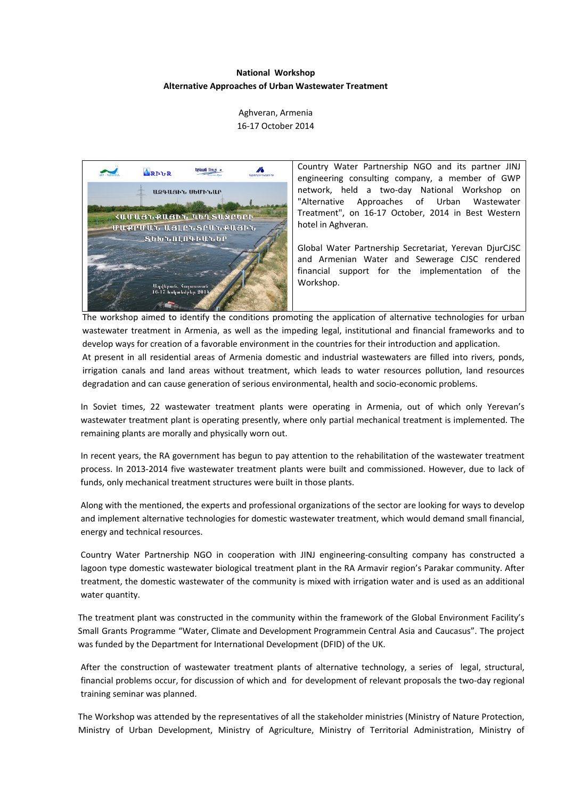# **National Workshop Alternative Approaches of Urban Wastewater Treatment**

Aghveran, Armenia 16‐17 October 2014

**tpluuG** Snip \*  $\mathbb{Z}$ **ARPLE** ԱԶԳԱՅԻՆ ՍԵՄԻՆԱՐ ՀԱՄԱՅՆՔԱՅԻՆ ԿԵՂՏԱՋՐԵՐԻ **UURPUUL USLELSPULRUSPL** ՏԵԽՆՈԼՈԳԻԱՆԵՐ .<br>հոհակմոկո 901

Country Water Partnership NGO and its partner JINJ engineering consulting company, a member of GWP network, held a two‐day National Workshop on "Alternative Approaches of Urban Wastewater Treatment", on 16‐17 October, 2014 in Best Western hotel in Aghveran.

Global Water Partnership Secretariat, Yerevan DjurCJSC and Armenian Water and Sewerage CJSC rendered financial support for the implementation of the Workshop.

The workshop aimed to identify the conditions promoting the application of alternative technologies for urban wastewater treatment in Armenia, as well as the impeding legal, institutional and financial frameworks and to develop ways for creation of a favorable environment in the countries for their introduction and application. At present in all residential areas of Armenia domestic and industrial wastewaters are filled into rivers, ponds, irrigation canals and land areas without treatment, which leads to water resources pollution, land resources degradation and can cause generation of serious environmental, health and socio‐economic problems.

In Soviet times, 22 wastewater treatment plants were operating in Armenia, out of which only Yerevan's wastewater treatment plant is operating presently, where only partial mechanical treatment is implemented. The remaining plants are morally and physically worn out.

In recent years, the RA government has begun to pay attention to the rehabilitation of the wastewater treatment process. In 2013‐2014 five wastewater treatment plants were built and commissioned. However, due to lack of funds, only mechanical treatment structures were built in those plants.

Along with the mentioned, the experts and professional organizations of the sector are looking for ways to develop and implement alternative technologies for domestic wastewater treatment, which would demand small financial, energy and technical resources.

Country Water Partnership NGO in cooperation with JINJ engineering‐consulting company has constructed a lagoon type domestic wastewater biological treatment plant in the RA Armavir region's Parakar community. After treatment, the domestic wastewater of the community is mixed with irrigation water and is used as an additional water quantity.

The treatment plant was constructed in the community within the framework of the Global Environment Facility's Small Grants Programme "Water, Climate and Development Programmein Central Asia and Caucasus". The project was funded by the Department for International Development (DFID) of the UK.

After the construction of wastewater treatment plants of alternative technology, a series of legal, structural, financial problems occur, for discussion of which and for development of relevant proposals the two‐day regional training seminar was planned.

The Workshop was attended by the representatives of all the stakeholder ministries (Ministry of Nature Protection, Ministry of Urban Development, Ministry of Agriculture, Ministry of Territorial Administration, Ministry of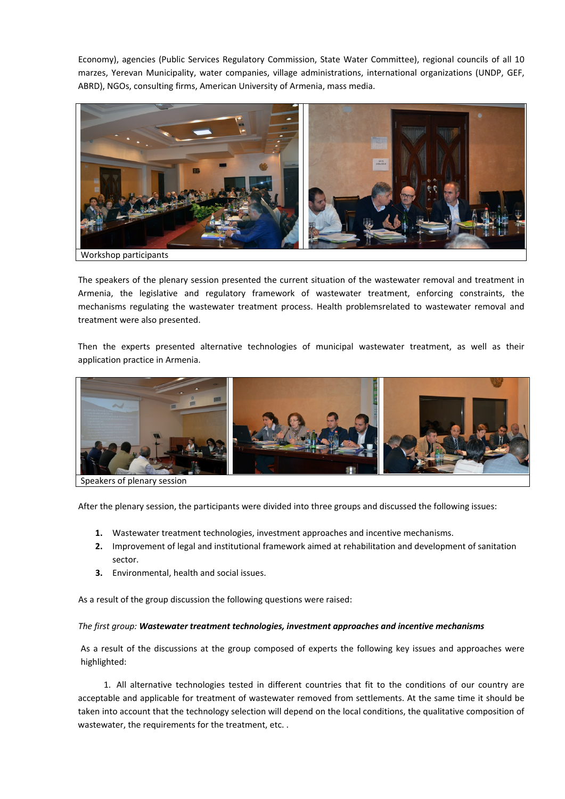Economy), agencies (Public Services Regulatory Commission, State Water Committee), regional councils of all 10 marzes, Yerevan Municipality, water companies, village administrations, international organizations (UNDP, GEF, ABRD), NGOs, consulting firms, American University of Armenia, mass media.



The speakers of the plenary session presented the current situation of the wastewater removal and treatment in Armenia, the legislative and regulatory framework of wastewater treatment, enforcing constraints, the mechanisms regulating the wastewater treatment process. Health problemsrelated to wastewater removal and treatment were also presented.

Then the experts presented alternative technologies of municipal wastewater treatment, as well as their application practice in Armenia.



Speakers of plenary session

After the plenary session, the participants were divided into three groups and discussed the following issues:

- **1.** Wastewater treatment technologies, investment approaches and incentive mechanisms.
- **2.** Improvement of legal and institutional framework aimed at rehabilitation and development of sanitation sector.
- **3.** Environmental, health and social issues.

As a result of the group discussion the following questions were raised:

#### *The first group: Wastewater treatment technologies, investment approaches and incentive mechanisms*

As a result of the discussions at the group composed of experts the following key issues and approaches were highlighted:

1. All alternative technologies tested in different countries that fit to the conditions of our country are acceptable and applicable for treatment of wastewater removed from settlements. At the same time it should be taken into account that the technology selection will depend on the local conditions, the qualitative composition of wastewater, the requirements for the treatment, etc. .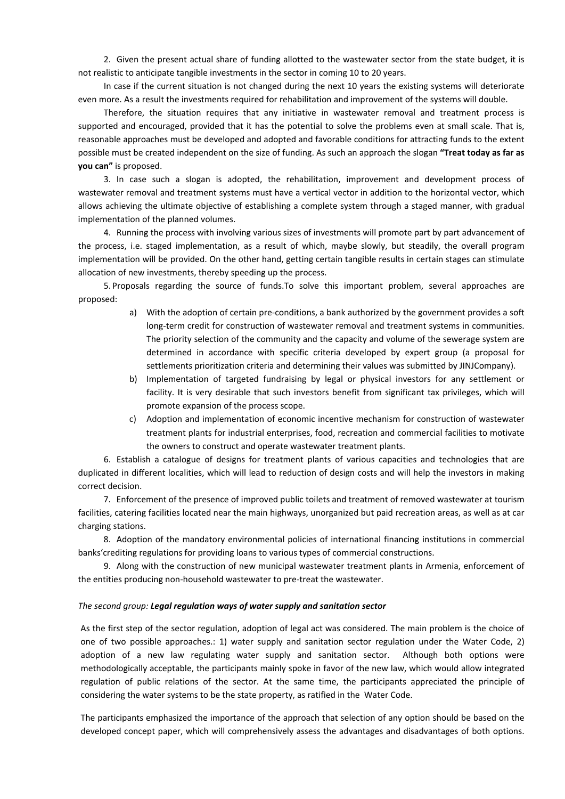2. Given the present actual share of funding allotted to the wastewater sector from the state budget, it is not realistic to anticipate tangible investments in the sector in coming 10 to 20 years.

In case if the current situation is not changed during the next 10 years the existing systems will deteriorate even more. As a result the investments required for rehabilitation and improvement of the systems will double.

Therefore, the situation requires that any initiative in wastewater removal and treatment process is supported and encouraged, provided that it has the potential to solve the problems even at small scale. That is, reasonable approaches must be developed and adopted and favorable conditions for attracting funds to the extent possible must be created independent on the size of funding. As such an approach the slogan **"Treat today as far as you can"** is proposed.

3. In case such a slogan is adopted, the rehabilitation, improvement and development process of wastewater removal and treatment systems must have a vertical vector in addition to the horizontal vector, which allows achieving the ultimate objective of establishing a complete system through a staged manner, with gradual implementation of the planned volumes.

4. Running the process with involving various sizes of investments will promote part by part advancement of the process, i.e. staged implementation, as a result of which, maybe slowly, but steadily, the overall program implementation will be provided. On the other hand, getting certain tangible results in certain stages can stimulate allocation of new investments, thereby speeding up the process.

5. Proposals regarding the source of funds.To solve this important problem, several approaches are proposed:

- a) With the adoption of certain pre-conditions, a bank authorized by the government provides a soft long-term credit for construction of wastewater removal and treatment systems in communities. The priority selection of the community and the capacity and volume of the sewerage system are determined in accordance with specific criteria developed by expert group (a proposal for settlements prioritization criteria and determining their values was submitted by JINJCompany).
- b) Implementation of targeted fundraising by legal or physical investors for any settlement or facility. It is very desirable that such investors benefit from significant tax privileges, which will promote expansion of the process scope.
- c) Adoption and implementation of economic incentive mechanism for construction of wastewater treatment plants for industrial enterprises, food, recreation and commercial facilities to motivate the owners to construct and operate wastewater treatment plants.

6. Establish a catalogue of designs for treatment plants of various capacities and technologies that are duplicated in different localities, which will lead to reduction of design costs and will help the investors in making correct decision.

7. Enforcement of the presence of improved public toilets and treatment of removed wastewater at tourism facilities, catering facilities located near the main highways, unorganized but paid recreation areas, as well as at car charging stations.

8. Adoption of the mandatory environmental policies of international financing institutions in commercial banks'crediting regulations for providing loans to various types of commercial constructions.

9. Along with the construction of new municipal wastewater treatment plants in Armenia, enforcement of the entities producing non‐household wastewater to pre‐treat the wastewater.

#### *The second group: Legal regulation ways of water supply and sanitation sector*

As the first step of the sector regulation, adoption of legal act was considered. The main problem is the choice of one of two possible approaches.: 1) water supply and sanitation sector regulation under the Water Code, 2) adoption of a new law regulating water supply and sanitation sector. Although both options were methodologically acceptable, the participants mainly spoke in favor of the new law, which would allow integrated regulation of public relations of the sector. At the same time, the participants appreciated the principle of considering the water systems to be the state property, as ratified in the Water Code.

The participants emphasized the importance of the approach that selection of any option should be based on the developed concept paper, which will comprehensively assess the advantages and disadvantages of both options.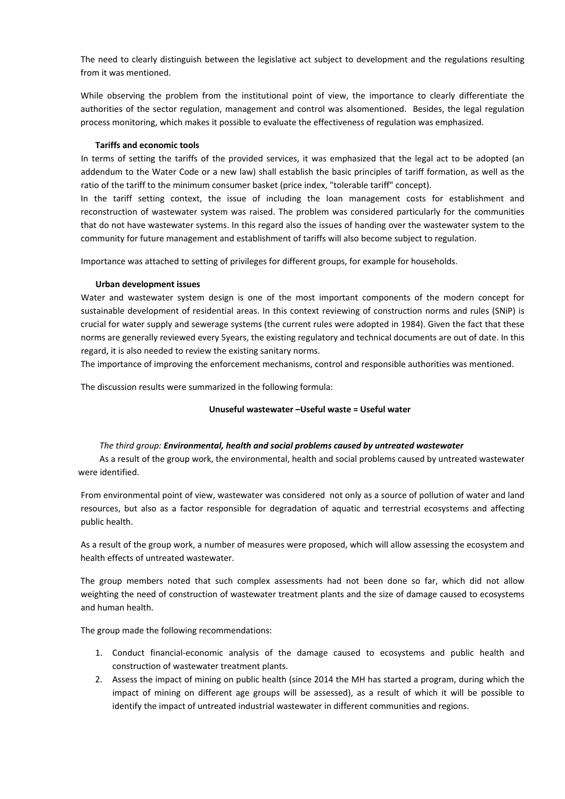The need to clearly distinguish between the legislative act subject to development and the regulations resulting from it was mentioned.

While observing the problem from the institutional point of view, the importance to clearly differentiate the authorities of the sector regulation, management and control was alsomentioned. Besides, the legal regulation process monitoring, which makes it possible to evaluate the effectiveness of regulation was emphasized.

## **Tariffs and economic tools**

In terms of setting the tariffs of the provided services, it was emphasized that the legal act to be adopted (an addendum to the Water Code or a new law) shall establish the basic principles of tariff formation, as well as the ratio of the tariff to the minimum consumer basket (price index, "tolerable tariff" concept).

In the tariff setting context, the issue of including the loan management costs for establishment and reconstruction of wastewater system was raised. The problem was considered particularly for the communities that do not have wastewater systems. In this regard also the issues of handing over the wastewater system to the community for future management and establishment of tariffs will also become subject to regulation.

Importance was attached to setting of privileges for different groups, for example for households.

#### **Urban development issues**

Water and wastewater system design is one of the most important components of the modern concept for sustainable development of residential areas. In this context reviewing of construction norms and rules (SNiP) is crucial for water supply and sewerage systems (the current rules were adopted in 1984). Given the fact that these norms are generally reviewed every 5years, the existing regulatory and technical documents are out of date. In this regard, it is also needed to review the existing sanitary norms.

The importance of improving the enforcement mechanisms, control and responsible authorities was mentioned.

The discussion results were summarized in the following formula:

## **Unuseful wastewater –Useful waste = Useful water**

## *The third group: Environmental, health and social problems caused by untreated wastewater*

As a result of the group work, the environmental, health and social problems caused by untreated wastewater were identified.

From environmental point of view, wastewater was considered not only as a source of pollution of water and land resources, but also as a factor responsible for degradation of aquatic and terrestrial ecosystems and affecting public health.

As a result of the group work, a number of measures were proposed, which will allow assessing the ecosystem and health effects of untreated wastewater.

The group members noted that such complex assessments had not been done so far, which did not allow weighting the need of construction of wastewater treatment plants and the size of damage caused to ecosystems and human health.

The group made the following recommendations:

- 1. Conduct financial‐economic analysis of the damage caused to ecosystems and public health and construction of wastewater treatment plants.
- 2. Assess the impact of mining on public health (since 2014 the MH has started a program, during which the impact of mining on different age groups will be assessed), as a result of which it will be possible to identify the impact of untreated industrial wastewater in different communities and regions.